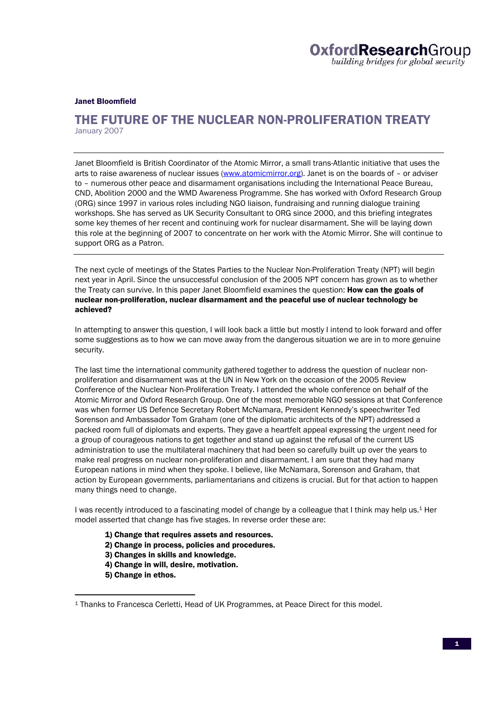Janet Bloomfield

## THE FUTURE OF THE NUCLEAR NON-PROLIFERATION TREATY January 2007

Janet Bloomfield is British Coordinator of the Atomic Mirror, a small trans-Atlantic initiative that uses the arts to raise awareness of nuclear issues (www.atomicmirror.org). Janet is on the boards of - or adviser to – numerous other peace and disarmament organisations including the International Peace Bureau, CND, Abolition 2000 and the WMD Awareness Programme. She has worked with Oxford Research Group (ORG) since 1997 in various roles including NGO liaison, fundraising and running dialogue training workshops. She has served as UK Security Consultant to ORG since 2000, and this briefing integrates some key themes of her recent and continuing work for nuclear disarmament. She will be laying down this role at the beginning of 2007 to concentrate on her work with the Atomic Mirror. She will continue to support ORG as a Patron.

The next cycle of meetings of the States Parties to the Nuclear Non-Proliferation Treaty (NPT) will begin next year in April. Since the unsuccessful conclusion of the 2005 NPT concern has grown as to whether the Treaty can survive. In this paper Janet Bloomfield examines the question: **How can the goals of** nuclear non-proliferation, nuclear disarmament and the peaceful use of nuclear technology be achieved?

In attempting to answer this question, I will look back a little but mostly I intend to look forward and offer some suggestions as to how we can move away from the dangerous situation we are in to more genuine security.

The last time the international community gathered together to address the question of nuclear nonproliferation and disarmament was at the UN in New York on the occasion of the 2005 Review Conference of the Nuclear Non-Proliferation Treaty. I attended the whole conference on behalf of the Atomic Mirror and Oxford Research Group. One of the most memorable NGO sessions at that Conference was when former US Defence Secretary Robert McNamara, President Kennedy's speechwriter Ted Sorenson and Ambassador Tom Graham (one of the diplomatic architects of the NPT) addressed a packed room full of diplomats and experts. They gave a heartfelt appeal expressing the urgent need for a group of courageous nations to get together and stand up against the refusal of the current US administration to use the multilateral machinery that had been so carefully built up over the years to make real progress on nuclear non-proliferation and disarmament. I am sure that they had many European nations in mind when they spoke. I believe, like McNamara, Sorenson and Graham, that action by European governments, parliamentarians and citizens is crucial. But for that action to happen many things need to change.

I was recently introduced to a fascinating model of change by a colleague that I think may help us.1 Her model asserted that change has five stages. In reverse order these are:

- 1) Change that requires assets and resources.
- 2) Change in process, policies and procedures.
- 3) Changes in skills and knowledge.
- 4) Change in will, desire, motivation.
- 5) Change in ethos.

l

<sup>1</sup> Thanks to Francesca Cerletti, Head of UK Programmes, at Peace Direct for this model.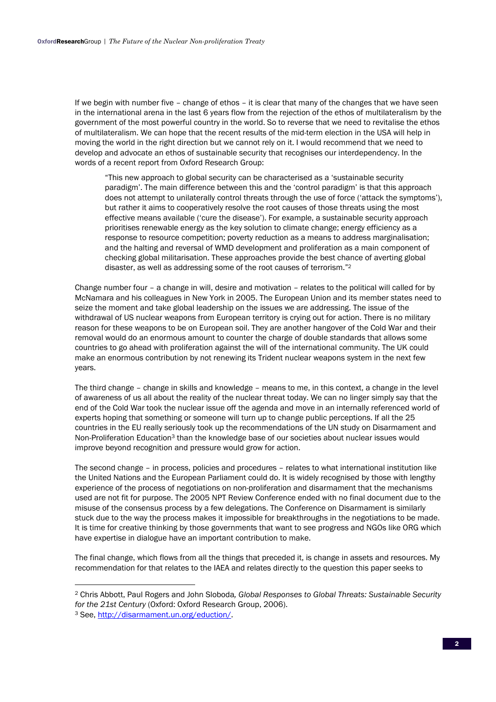If we begin with number five – change of ethos – it is clear that many of the changes that we have seen in the international arena in the last 6 years flow from the rejection of the ethos of multilateralism by the government of the most powerful country in the world. So to reverse that we need to revitalise the ethos of multilateralism. We can hope that the recent results of the mid-term election in the USA will help in moving the world in the right direction but we cannot rely on it. I would recommend that we need to develop and advocate an ethos of sustainable security that recognises our interdependency. In the words of a recent report from Oxford Research Group:

"This new approach to global security can be characterised as a 'sustainable security paradigm'. The main difference between this and the 'control paradigm' is that this approach does not attempt to unilaterally control threats through the use of force ('attack the symptoms'), but rather it aims to cooperatively resolve the root causes of those threats using the most effective means available ('cure the disease'). For example, a sustainable security approach prioritises renewable energy as the key solution to climate change; energy efficiency as a response to resource competition; poverty reduction as a means to address marginalisation; and the halting and reversal of WMD development and proliferation as a main component of checking global militarisation. These approaches provide the best chance of averting global disaster, as well as addressing some of the root causes of terrorism."2

Change number four – a change in will, desire and motivation – relates to the political will called for by McNamara and his colleagues in New York in 2005. The European Union and its member states need to seize the moment and take global leadership on the issues we are addressing. The issue of the withdrawal of US nuclear weapons from European territory is crying out for action. There is no military reason for these weapons to be on European soil. They are another hangover of the Cold War and their removal would do an enormous amount to counter the charge of double standards that allows some countries to go ahead with proliferation against the will of the international community. The UK could make an enormous contribution by not renewing its Trident nuclear weapons system in the next few years.

The third change – change in skills and knowledge – means to me, in this context, a change in the level of awareness of us all about the reality of the nuclear threat today. We can no linger simply say that the end of the Cold War took the nuclear issue off the agenda and move in an internally referenced world of experts hoping that something or someone will turn up to change public perceptions. If all the 25 countries in the EU really seriously took up the recommendations of the UN study on Disarmament and Non-Proliferation Education<sup>3</sup> than the knowledge base of our societies about nuclear issues would improve beyond recognition and pressure would grow for action.

The second change – in process, policies and procedures – relates to what international institution like the United Nations and the European Parliament could do. It is widely recognised by those with lengthy experience of the process of negotiations on non-proliferation and disarmament that the mechanisms used are not fit for purpose. The 2005 NPT Review Conference ended with no final document due to the misuse of the consensus process by a few delegations. The Conference on Disarmament is similarly stuck due to the way the process makes it impossible for breakthroughs in the negotiations to be made. It is time for creative thinking by those governments that want to see progress and NGOs like ORG which have expertise in dialogue have an important contribution to make.

The final change, which flows from all the things that preceded it, is change in assets and resources. My recommendation for that relates to the IAEA and relates directly to the question this paper seeks to

l

<sup>2</sup> Chris Abbott, Paul Rogers and John Sloboda*, Global Responses to Global Threats: Sustainable Security for the 21st Century (Oxford: Oxford Research Group, 2006).* 3 See, http://disarmament.un.org/eduction/.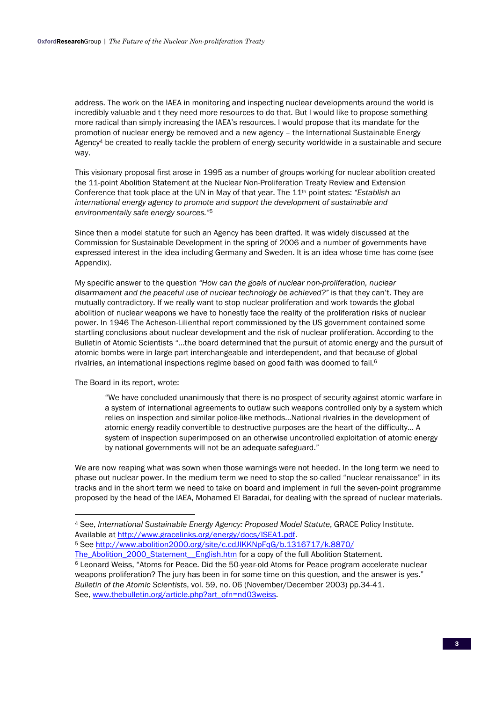address. The work on the IAEA in monitoring and inspecting nuclear developments around the world is incredibly valuable and t they need more resources to do that. But I would like to propose something more radical than simply increasing the IAEA's resources. I would propose that its mandate for the promotion of nuclear energy be removed and a new agency – the International Sustainable Energy Agency4 be created to really tackle the problem of energy security worldwide in a sustainable and secure way.

This visionary proposal first arose in 1995 as a number of groups working for nuclear abolition created the 11-point Abolition Statement at the Nuclear Non-Proliferation Treaty Review and Extension Conference that took place at the UN in May of that year. The 11th point states: *"Establish an international energy agency to promote and support the development of sustainable and environmentally safe energy sources."*<sup>5</sup>

Since then a model statute for such an Agency has been drafted. It was widely discussed at the Commission for Sustainable Development in the spring of 2006 and a number of governments have expressed interest in the idea including Germany and Sweden. It is an idea whose time has come (see Appendix).

My specific answer to the question *"How can the goals of nuclear non-proliferation, nuclear disarmament and the peaceful use of nuclear technology be achieved?"* is that they can't. They are mutually contradictory. If we really want to stop nuclear proliferation and work towards the global abolition of nuclear weapons we have to honestly face the reality of the proliferation risks of nuclear power. In 1946 The Acheson-Lilienthal report commissioned by the US government contained some startling conclusions about nuclear development and the risk of nuclear proliferation. According to the Bulletin of Atomic Scientists "…the board determined that the pursuit of atomic energy and the pursuit of atomic bombs were in large part interchangeable and interdependent, and that because of global rivalries, an international inspections regime based on good faith was doomed to fail.6

The Board in its report, wrote:

l

"We have concluded unanimously that there is no prospect of security against atomic warfare in a system of international agreements to outlaw such weapons controlled only by a system which relies on inspection and similar police-like methods…National rivalries in the development of atomic energy readily convertible to destructive purposes are the heart of the difficulty… A system of inspection superimposed on an otherwise uncontrolled exploitation of atomic energy by national governments will not be an adequate safeguard."

We are now reaping what was sown when those warnings were not heeded. In the long term we need to phase out nuclear power. In the medium term we need to stop the so-called "nuclear renaissance" in its tracks and in the short term we need to take on board and implement in full the seven-point programme proposed by the head of the IAEA, Mohamed El Baradai, for dealing with the spread of nuclear materials.

<sup>4</sup> See, *International Sustainable Energy Agency: Proposed Model Statute*, GRACE Policy Institute. Available at http://www.gracelinks.org/energy/docs/ISEA1.pdf. 5 See http://www.abolition2000.org/site/c.cdJIKKNpFqG/b.1316717/k.8870/

The\_Abolition\_2000\_Statement\_\_English.htm for a copy of the full Abolition Statement.<br><sup>6</sup> Leonard Weiss, "Atoms for Peace. Did the 50-year-old Atoms for Peace program accelerate nuclear weapons proliferation? The jury has been in for some time on this question, and the answer is yes." *Bulletin of the Atomic Scientists*, vol. 59, no. 06 (November/December 2003) pp.34-41. See, www.thebulletin.org/article.php?art\_ofn=nd03weiss.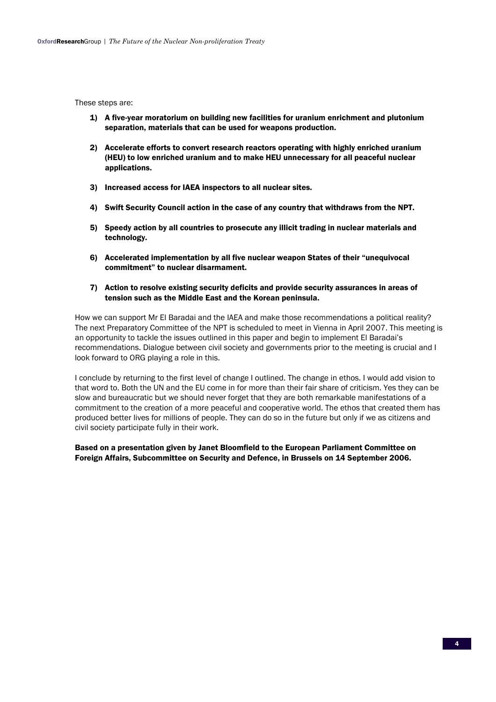These steps are:

- 1) A five-year moratorium on building new facilities for uranium enrichment and plutonium separation, materials that can be used for weapons production.
- 2) Accelerate efforts to convert research reactors operating with highly enriched uranium (HEU) to low enriched uranium and to make HEU unnecessary for all peaceful nuclear applications.
- 3) Increased access for IAEA inspectors to all nuclear sites.
- 4) Swift Security Council action in the case of any country that withdraws from the NPT.
- 5) Speedy action by all countries to prosecute any illicit trading in nuclear materials and technology.
- 6) Accelerated implementation by all five nuclear weapon States of their "unequivocal commitment" to nuclear disarmament.
- 7) Action to resolve existing security deficits and provide security assurances in areas of tension such as the Middle East and the Korean peninsula.

How we can support Mr El Baradai and the IAEA and make those recommendations a political reality? The next Preparatory Committee of the NPT is scheduled to meet in Vienna in April 2007. This meeting is an opportunity to tackle the issues outlined in this paper and begin to implement El Baradai's recommendations. Dialogue between civil society and governments prior to the meeting is crucial and I look forward to ORG playing a role in this.

I conclude by returning to the first level of change I outlined. The change in ethos. I would add vision to that word to. Both the UN and the EU come in for more than their fair share of criticism. Yes they can be slow and bureaucratic but we should never forget that they are both remarkable manifestations of a commitment to the creation of a more peaceful and cooperative world. The ethos that created them has produced better lives for millions of people. They can do so in the future but only if we as citizens and civil society participate fully in their work.

Based on a presentation given by Janet Bloomfield to the European Parliament Committee on Foreign Affairs, Subcommittee on Security and Defence, in Brussels on 14 September 2006.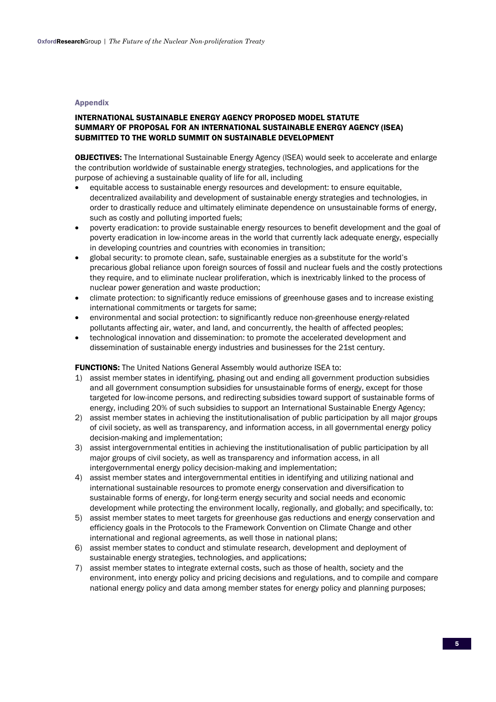## Appendix

## INTERNATIONAL SUSTAINABLE ENERGY AGENCY PROPOSED MODEL STATUTE SUMMARY OF PROPOSAL FOR AN INTERNATIONAL SUSTAINABLE ENERGY AGENCY (ISEA) SUBMITTED TO THE WORLD SUMMIT ON SUSTAINABLE DEVELOPMENT

**OBJECTIVES:** The International Sustainable Energy Agency (ISEA) would seek to accelerate and enlarge the contribution worldwide of sustainable energy strategies, technologies, and applications for the purpose of achieving a sustainable quality of life for all, including

- equitable access to sustainable energy resources and development: to ensure equitable, decentralized availability and development of sustainable energy strategies and technologies, in order to drastically reduce and ultimately eliminate dependence on unsustainable forms of energy, such as costly and polluting imported fuels;
- poverty eradication: to provide sustainable energy resources to benefit development and the goal of poverty eradication in low-income areas in the world that currently lack adequate energy, especially in developing countries and countries with economies in transition;
- global security: to promote clean, safe, sustainable energies as a substitute for the world's precarious global reliance upon foreign sources of fossil and nuclear fuels and the costly protections they require, and to eliminate nuclear proliferation, which is inextricably linked to the process of nuclear power generation and waste production;
- climate protection: to significantly reduce emissions of greenhouse gases and to increase existing international commitments or targets for same;
- environmental and social protection: to significantly reduce non-greenhouse energy-related pollutants affecting air, water, and land, and concurrently, the health of affected peoples;
- technological innovation and dissemination: to promote the accelerated development and dissemination of sustainable energy industries and businesses for the 21st century.

FUNCTIONS: The United Nations General Assembly would authorize ISEA to:

- 1) assist member states in identifying, phasing out and ending all government production subsidies and all government consumption subsidies for unsustainable forms of energy, except for those targeted for low-income persons, and redirecting subsidies toward support of sustainable forms of energy, including 20% of such subsidies to support an International Sustainable Energy Agency;
- 2) assist member states in achieving the institutionalisation of public participation by all major groups of civil society, as well as transparency, and information access, in all governmental energy policy decision-making and implementation;
- 3) assist intergovernmental entities in achieving the institutionalisation of public participation by all major groups of civil society, as well as transparency and information access, in all intergovernmental energy policy decision-making and implementation;
- 4) assist member states and intergovernmental entities in identifying and utilizing national and international sustainable resources to promote energy conservation and diversification to sustainable forms of energy, for long-term energy security and social needs and economic development while protecting the environment locally, regionally, and globally; and specifically, to:
- 5) assist member states to meet targets for greenhouse gas reductions and energy conservation and efficiency goals in the Protocols to the Framework Convention on Climate Change and other international and regional agreements, as well those in national plans;
- 6) assist member states to conduct and stimulate research, development and deployment of sustainable energy strategies, technologies, and applications;
- 7) assist member states to integrate external costs, such as those of health, society and the environment, into energy policy and pricing decisions and regulations, and to compile and compare national energy policy and data among member states for energy policy and planning purposes;